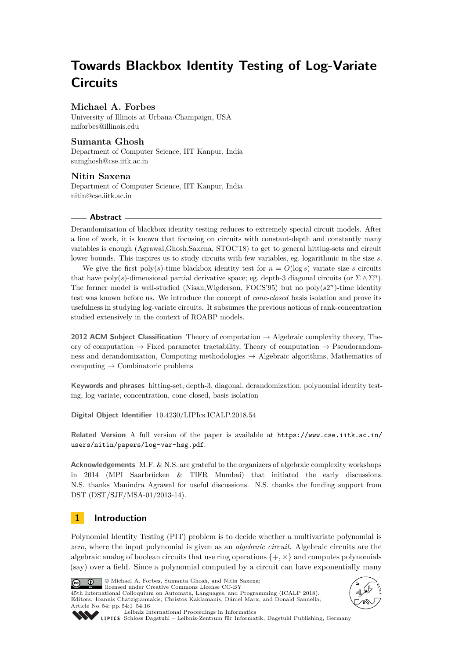# **Towards Blackbox Identity Testing of Log-Variate Circuits**

# **Michael A. Forbes**

University of Illinois at Urbana-Champaign, USA [miforbes@illinois.edu](mailto:miforbes@illinois.edu)

## **Sumanta Ghosh**

Department of Computer Science, IIT Kanpur, India [sumghosh@cse.iitk.ac.in](mailto:sumghosh@cse.iitk.ac.in)

**Nitin Saxena** Department of Computer Science, IIT Kanpur, India [nitin@cse.iitk.ac.in](mailto:nitin@cse.iitk.ac.in)

#### **Abstract**

Derandomization of blackbox identity testing reduces to extremely special circuit models. After a line of work, it is known that focusing on circuits with constant-depth and constantly many variables is enough (Agrawal,Ghosh,Saxena, STOC'18) to get to general hitting-sets and circuit lower bounds. This inspires us to study circuits with few variables, eg. logarithmic in the size *s*.

We give the first poly(s)-time blackbox identity test for  $n = O(\log s)$  variate size-s circuits that have poly(s)-dimensional partial derivative space; eg. depth-3 diagonal circuits (or  $\Sigma \wedge \Sigma^n$ ). The former model is well-studied (Nisan, Wigderson, FOCS'95) but no poly( $s2<sup>n</sup>$ )-time identity test was known before us. We introduce the concept of *cone-closed* basis isolation and prove its usefulness in studying log-variate circuits. It subsumes the previous notions of rank-concentration studied extensively in the context of ROABP models.

**2012 ACM Subject Classification** Theory of computation → Algebraic complexity theory, Theory of computation  $\rightarrow$  Fixed parameter tractability, Theory of computation  $\rightarrow$  Pseudorandomness and derandomization, Computing methodologies  $\rightarrow$  Algebraic algorithms, Mathematics of computing  $\rightarrow$  Combinatoric problems

**Keywords and phrases** hitting-set, depth-3, diagonal, derandomization, polynomial identity testing, log-variate, concentration, cone closed, basis isolation

**Digital Object Identifier** [10.4230/LIPIcs.ICALP.2018.54](http://dx.doi.org/10.4230/LIPIcs.ICALP.2018.54)

**Related Version** A full version of the paper is available at [https://www.cse.iitk.ac.in/](https://www.cse.iitk.ac.in/users/nitin/papers/log-var-hsg.pdf) [users/nitin/papers/log-var-hsg.pdf](https://www.cse.iitk.ac.in/users/nitin/papers/log-var-hsg.pdf).

**Acknowledgements** M.F. & N.S. are grateful to the organizers of algebraic complexity workshops in 2014 (MPI Saarbrücken & TIFR Mumbai) that initiated the early discussions. N.S. thanks Manindra Agrawal for useful discussions. N.S. thanks the funding support from DST (DST/SJF/MSA-01/2013-14).

# **1 Introduction**

Polynomial Identity Testing (PIT) problem is to decide whether a multivariate polynomial is *zero*, where the input polynomial is given as an *algebraic circuit*. Algebraic circuits are the algebraic analog of boolean circuits that use ring operations  $\{+, \times\}$  and computes polynomials (say) over a field. Since a polynomial computed by a circuit can have exponentially many



© Michael A. Forbes, Sumanta Ghosh, and Nitin Saxena; licensed under Creative Commons License CC-BY

45th International Colloquium on Automata, Languages, and Programming (ICALP 2018). Editors: Ioannis Chatzigiannakis, Christos Kaklamanis, Dániel Marx, and Donald Sannella; Article No. 54; pp. 54:1–54[:16](#page-15-0)





[Leibniz International Proceedings in Informatics](http://www.dagstuhl.de/lipics/)

[Schloss Dagstuhl – Leibniz-Zentrum für Informatik, Dagstuhl Publishing, Germany](http://www.dagstuhl.de)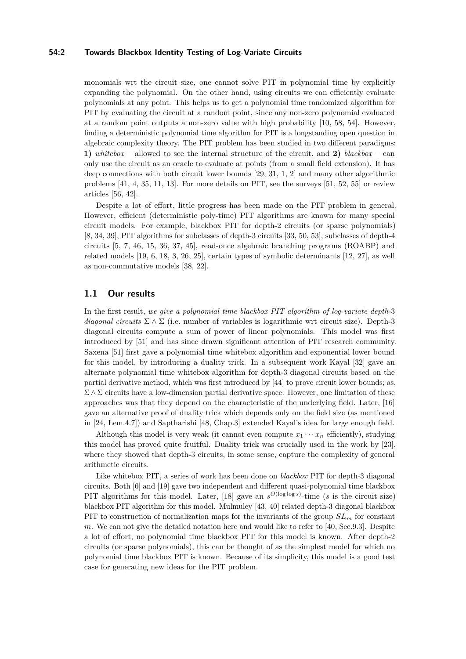#### **54:2 Towards Blackbox Identity Testing of Log-Variate Circuits**

monomials wrt the circuit size, one cannot solve PIT in polynomial time by explicitly expanding the polynomial. On the other hand, using circuits we can efficiently evaluate polynomials at any point. This helps us to get a polynomial time randomized algorithm for PIT by evaluating the circuit at a random point, since any non-zero polynomial evaluated at a random point outputs a non-zero value with high probability [\[10,](#page-12-0) [58,](#page-15-1) [54\]](#page-14-0). However, finding a deterministic polynomial time algorithm for PIT is a longstanding open question in algebraic complexity theory. The PIT problem has been studied in two different paradigms: **1)** *whitebox* – allowed to see the internal structure of the circuit, and **2)** *blackbox* – can only use the circuit as an oracle to evaluate at points (from a small field extension). It has deep connections with both circuit lower bounds [\[29,](#page-13-0) [31,](#page-13-1) [1,](#page-12-1) [2\]](#page-12-2) and many other algorithmic problems [\[41,](#page-14-1) [4,](#page-12-3) [35,](#page-13-2) [11,](#page-12-4) [13\]](#page-12-5). For more details on PIT, see the surveys [\[51,](#page-14-2) [52,](#page-14-3) [55\]](#page-14-4) or review articles [\[56,](#page-14-5) [42\]](#page-14-6).

Despite a lot of effort, little progress has been made on the PIT problem in general. However, efficient (deterministic poly-time) PIT algorithms are known for many special circuit models. For example, blackbox PIT for depth-2 circuits (or sparse polynomials) [\[8,](#page-12-6) [34,](#page-13-3) [39\]](#page-14-7), PIT algorithms for subclasses of depth-3 circuits [\[33,](#page-13-4) [50,](#page-14-8) [53\]](#page-14-9), subclasses of depth-4 circuits [\[5,](#page-12-7) [7,](#page-12-8) [46,](#page-14-10) [15,](#page-12-9) [36,](#page-13-5) [37,](#page-14-11) [45\]](#page-14-12), read-once algebraic branching programs (ROABP) and related models [\[19,](#page-12-10) [6,](#page-12-11) [18,](#page-12-12) [3,](#page-12-13) [26,](#page-13-6) [25\]](#page-13-7), certain types of symbolic determinants [\[12,](#page-12-14) [27\]](#page-13-8), as well as non-commutative models [\[38,](#page-14-13) [22\]](#page-13-9).

### **1.1 Our results**

In the first result, *we give a polynomial time blackbox PIT algorithm of log-variate depth-*3 *diagonal circuits*  $\Sigma \wedge \Sigma$  (i.e. number of variables is logarithmic wrt circuit size). Depth-3 diagonal circuits compute a sum of power of linear polynomials. This model was first introduced by [\[51\]](#page-14-2) and has since drawn significant attention of PIT research community. Saxena [\[51\]](#page-14-2) first gave a polynomial time whitebox algorithm and exponential lower bound for this model, by introducing a duality trick. In a subsequent work Kayal [\[32\]](#page-13-10) gave an alternate polynomial time whitebox algorithm for depth-3 diagonal circuits based on the partial derivative method, which was first introduced by [\[44\]](#page-14-14) to prove circuit lower bounds; as,  $\Sigma \wedge \Sigma$  circuits have a low-dimension partial derivative space. However, one limitation of these approaches was that they depend on the characteristic of the underlying field. Later, [\[16\]](#page-12-15) gave an alternative proof of duality trick which depends only on the field size (as mentioned in [\[24,](#page-13-11) Lem.4.7]) and Saptharishi [\[48,](#page-14-15) Chap.3] extended Kayal's idea for large enough field.

Although this model is very weak (it cannot even compute  $x_1 \cdots x_n$  efficiently), studying this model has proved quite fruitful. Duality trick was crucially used in the work by [\[23\]](#page-13-12), where they showed that depth-3 circuits, in some sense, capture the complexity of general arithmetic circuits.

Like whitebox PIT, a series of work has been done on *blackbox* PIT for depth-3 diagonal circuits. Both [\[6\]](#page-12-11) and [\[19\]](#page-12-10) gave two independent and different quasi-polynomial time blackbox PIT algorithms for this model. Later, [\[18\]](#page-12-12) gave an  $s^{O(\log \log s)}$ -time (*s* is the circuit size) blackbox PIT algorithm for this model. Mulmuley [\[43,](#page-14-16) [40\]](#page-14-17) related depth-3 diagonal blackbox PIT to construction of normalization maps for the invariants of the group  $SL_m$  for constant *m*. We can not give the detailed notation here and would like to refer to [\[40,](#page-14-17) Sec.9.3]. Despite a lot of effort, no polynomial time blackbox PIT for this model is known. After depth-2 circuits (or sparse polynomials), this can be thought of as the simplest model for which no polynomial time blackbox PIT is known. Because of its simplicity, this model is a good test case for generating new ideas for the PIT problem.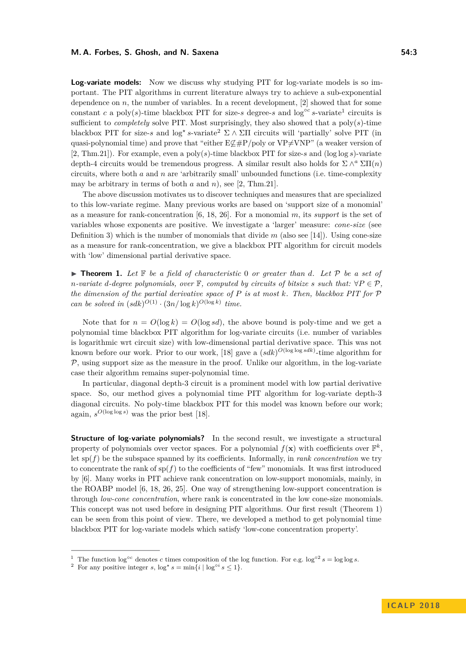#### **M. A. Forbes, S. Ghosh, and N. Saxena 54:3**

**Log-variate models:** Now we discuss why studying PIT for log-variate models is so important. The PIT algorithms in current literature always try to achieve a sub-exponential dependence on  $n$ , the number of variables. In a recent development,  $[2]$  showed that for some constant *c* a poly(*s*)-time blackbox PIT for size-*s* degree-*s* and log<sup>oc</sup> *s*-variate<sup>[1](#page-2-0)</sup> circuits is sufficient to *completely* solve PIT. Most surprisingly, they also showed that a poly(*s*)-time blackbox PIT for size-*s* and  $\log^* s$ -variate<sup>[2](#page-2-1)</sup>  $\Sigma \wedge \Sigma \Pi$  circuits will 'partially' solve PIT (in quasi-polynomial time) and prove that "either  $E\nsubseteq\#P/\text{poly}$  or  $VP\neq VNP$ " (a weaker version of [\[2,](#page-12-2) Thm.21]). For example, even a poly(*s*)-time blackbox PIT for size-*s* and (log log *s*)-variate depth-4 circuits would be tremendous progress. A similar result also holds for  $\Sigma \wedge^a \Sigma \Pi(n)$ circuits, where both *a* and *n* are 'arbitrarily small' unbounded functions (i.e. time-complexity may be arbitrary in terms of both *a* and *n*), see [\[2,](#page-12-2) Thm.21].

The above discussion motivates us to discover techniques and measures that are specialized to this low-variate regime. Many previous works are based on 'support size of a monomial' as a measure for rank-concentration [\[6,](#page-12-11) [18,](#page-12-12) [26\]](#page-13-6). For a monomial *m*, its *support* is the set of variables whose exponents are positive. We investigate a 'larger' measure: *cone-size* (see Definition [3\)](#page-4-0) which is the number of monomials that divide  $m$  (also see [\[14\]](#page-12-16)). Using cone-size as a measure for rank-concentration, we give a blackbox PIT algorithm for circuit models with 'low' dimensional partial derivative space.

<span id="page-2-2"></span> $\blacktriangleright$  **Theorem 1.** Let  $\mathbb F$  be a field of characteristic 0 or greater than d. Let  $\mathcal P$  be a set of *n*-variate *d*-degree polynomials, over  $\mathbb{F}$ *, computed by circuits of bitsize s such that:*  $\forall P \in \mathcal{P}$ *, the dimension of the partial derivative space of P is at most k. Then, blackbox PIT for* P *can be solved in*  $(sdk)^{O(1)} \cdot (3n/\log k)^{O(\log k)}$  *time.* 

Note that for  $n = O(\log k) = O(\log s d)$ , the above bound is poly-time and we get a polynomial time blackbox PIT algorithm for log-variate circuits (i.e. number of variables is logarithmic wrt circuit size) with low-dimensional partial derivative space. This was not known before our work. Prior to our work, [\[18\]](#page-12-12) gave a  $(sdk)^{O(\log \log sdk)}$ -time algorithm for  $P$ , using support size as the measure in the proof. Unlike our algorithm, in the log-variate case their algorithm remains super-polynomial time.

In particular, diagonal depth-3 circuit is a prominent model with low partial derivative space. So, our method gives a polynomial time PIT algorithm for log-variate depth-3 diagonal circuits. No poly-time blackbox PIT for this model was known before our work; again,  $s^{O(\log \log s)}$  was the prior best [\[18\]](#page-12-12).

**Structure of log-variate polynomials?** In the second result, we investigate a structural property of polynomials over vector spaces. For a polynomial  $f(\mathbf{x})$  with coefficients over  $\mathbb{F}^k$ , let  $\text{sp}(f)$  be the subspace spanned by its coefficients. Informally, in *rank concentration* we try to concentrate the rank of  $sp(f)$  to the coefficients of "few" monomials. It was first introduced by [\[6\]](#page-12-11). Many works in PIT achieve rank concentration on low-support monomials, mainly, in the ROABP model [\[6,](#page-12-11) [18,](#page-12-12) [26,](#page-13-6) [25\]](#page-13-7). One way of strengthening low-support concentration is through *low-cone concentration*, where rank is concentrated in the low cone-size monomials. This concept was not used before in designing PIT algorithms. Our first result (Theorem [1\)](#page-2-2) can be seen from this point of view. There, we developed a method to get polynomial time blackbox PIT for log-variate models which satisfy 'low-cone concentration property'.

<span id="page-2-0"></span><sup>&</sup>lt;sup>1</sup> The function  $\log^{\circ}c$  denotes *c* times composition of the log function. For e.g.  $\log^{\circ}2 s = \log \log s$ .

<span id="page-2-1"></span><sup>&</sup>lt;sup>2</sup> For any positive integer *s*,  $\log^* s = \min\{i \mid \log^{\circ i} s \leq 1\}.$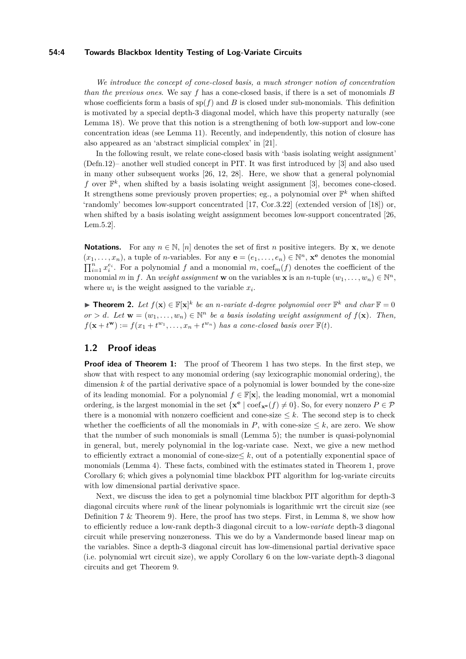#### **54:4 Towards Blackbox Identity Testing of Log-Variate Circuits**

*We introduce the concept of cone-closed basis, a much stronger notion of concentration than the previous ones*. We say *f* has a cone-closed basis, if there is a set of monomials *B* whose coefficients form a basis of  $sp(f)$  and *B* is closed under sub-monomials. This definition is motivated by a special depth-3 diagonal model, which have this property naturally (see Lemma [18\)](#page-11-0). We prove that this notion is a strengthening of both low-support and low-cone concentration ideas (see Lemma [11\)](#page-7-0). Recently, and independently, this notion of closure has also appeared as an 'abstract simplicial complex' in [\[21\]](#page-13-13).

In the following result, we relate cone-closed basis with 'basis isolating weight assignment' (Defn[.12\)](#page-7-1)– another well studied concept in PIT. It was first introduced by [\[3\]](#page-12-13) and also used in many other subsequent works [\[26,](#page-13-6) [12,](#page-12-14) [28\]](#page-13-14). Here, we show that a general polynomial f over  $\mathbb{F}^k$ , when shifted by a basis isolating weight assignment [\[3\]](#page-12-13), becomes cone-closed. It strengthens some previously proven properties; eg., a polynomial over  $\mathbb{F}^k$  when shifted 'randomly' becomes low-support concentrated [\[17,](#page-12-17) Cor.3.22] (extended version of [\[18\]](#page-12-12)) or, when shifted by a basis isolating weight assignment becomes low-support concentrated [\[26,](#page-13-6) Lem.5.2].

**Notations.** For any  $n \in \mathbb{N}$ ,  $[n]$  denotes the set of first *n* positive integers. By **x**, we denote  $(x_1, \ldots, x_n)$ , a tuple of *n*-variables. For any  $\mathbf{e} = (e_1, \ldots, e_n) \in \mathbb{N}^n$ ,  $\mathbf{x}^{\mathbf{e}}$  denotes the monomial  $\prod_{i=1}^{n} x_i^{e_i}$ . For a polynomial *f* and a monomial *m*,  $\text{coef}_m(f)$  denotes the coefficient of the monomial *m* in *f*. An *weight assignment* **w** on the variables **x** is an *n*-tuple  $(w_1, \ldots, w_n) \in \mathbb{N}^n$ , where  $w_i$  is the weight assigned to the variable  $x_i$ .

<span id="page-3-0"></span>**Find Theorem 2.** Let  $f(\mathbf{x}) \in \mathbb{F}[\mathbf{x}]^k$  be an *n*-variate d-degree polynomial over  $\mathbb{F}^k$  and char  $\mathbb{F} = 0$  $or > d$ *. Let*  $\mathbf{w} = (w_1, \ldots, w_n) \in \mathbb{N}^n$  *be a basis isolating weight assignment of*  $f(\mathbf{x})$ *. Then,*  $f(\mathbf{x} + t^{\mathbf{w}}) := f(x_1 + t^{w_1}, \dots, x_n + t^{w_n})$  has a cone-closed basis over  $\mathbb{F}(t)$ .

## **1.2 Proof ideas**

**Proof idea of Theorem [1:](#page-2-2)** The proof of Theorem [1](#page-2-2) has two steps. In the first step, we show that with respect to any monomial ordering (say lexicographic monomial ordering), the dimension *k* of the partial derivative space of a polynomial is lower bounded by the cone-size of its leading monomial. For a polynomial  $f \in \mathbb{F}[\mathbf{x}]$ , the leading monomial, wrt a monomial ordering, is the largest monomial in the set  $\{x^e \mid \text{coef}_{x^e}(f) \neq 0\}$ . So, for every nonzero  $P \in \mathcal{P}$ there is a monomial with nonzero coefficient and cone-size  $\leq k$ . The second step is to check whether the coefficients of all the monomials in  $P$ , with cone-size  $\leq k$ , are zero. We show that the number of such monomials is small (Lemma [5\)](#page-5-0); the number is quasi-polynomial in general, but, merely polynomial in the log-variate case. Next, we give a new method to efficiently extract a monomial of cone-size  $\leq k$ , out of a potentially exponential space of monomials (Lemma [4\)](#page-4-1). These facts, combined with the estimates stated in Theorem [1,](#page-2-2) prove Corollary [6;](#page-6-0) which gives a polynomial time blackbox PIT algorithm for log-variate circuits with low dimensional partial derivative space.

Next, we discuss the idea to get a polynomial time blackbox PIT algorithm for depth-3 diagonal circuits where *rank* of the linear polynomials is logarithmic wrt the circuit size (see Definition [7](#page-6-1) & Theorem [9\)](#page-6-2). Here, the proof has two steps. First, in Lemma [8,](#page-6-3) we show how to efficiently reduce a low-rank depth-3 diagonal circuit to a low-*variate* depth-3 diagonal circuit while preserving nonzeroness. This we do by a Vandermonde based linear map on the variables. Since a depth-3 diagonal circuit has low-dimensional partial derivative space (i.e. polynomial wrt circuit size), we apply Corollary [6](#page-6-0) on the low-variate depth-3 diagonal circuits and get Theorem [9.](#page-6-2)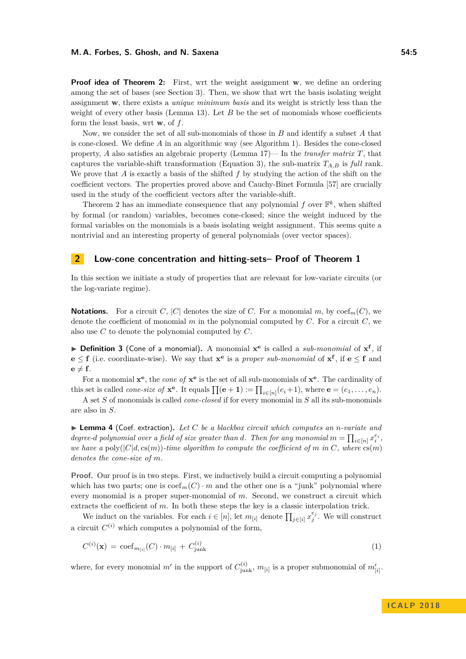#### **M. A. Forbes, S. Ghosh, and N. Saxena 54:5**

**Proof idea of Theorem [2:](#page-3-0)** First, wrt the weight assignment **w**, we define an ordering among the set of bases (see Section [3\)](#page-7-2). Then, we show that wrt the basis isolating weight assignment **w**, there exists a *unique minimum basis* and its weight is strictly less than the weight of every other basis (Lemma [13\)](#page-7-3). Let *B* be the set of monomials whose coefficients form the least basis, wrt **w**, of *f*.

Now, we consider the set of all sub-monomials of those in *B* and identify a subset *A* that is cone-closed. We define *A* in an algorithmic way (see Algorithm [1\)](#page-8-0). Besides the cone-closed property, *A* also satisfies an algebraic property (Lemma [17\)](#page-9-0)— In the *transfer matrix T*, that captures the variable-shift transformation (Equation [3\)](#page-8-1), the sub-matrix  $T_{A,B}$  is *full* rank. We prove that *A* is exactly a basis of the shifted *f* by studying the action of the shift on the coefficient vectors. The properties proved above and Cauchy-Binet Formula [\[57\]](#page-15-2) are crucially used in the study of the coefficient vectors after the variable-shift.

Theorem [2](#page-3-0) has an immediate consequence that any polynomial  $f$  over  $\mathbb{F}^k$ , when shifted by formal (or random) variables, becomes cone-closed; since the weight induced by the formal variables on the monomials is a basis isolating weight assignment. This seems quite a nontrivial and an interesting property of general polynomials (over vector spaces).

## **2 Low-cone concentration and hitting-sets– Proof of Theorem [1](#page-2-2)**

In this section we initiate a study of properties that are relevant for low-variate circuits (or the log-variate regime).

**Notations.** For a circuit *C*, |*C*| denotes the size of *C*. For a monomial *m*, by coef<sub>*m*</sub>(*C*), we denote the coefficient of monomial  $m$  in the polynomial computed by  $C$ . For a circuit  $C$ , we also use *C* to denote the polynomial computed by *C*.

<span id="page-4-0"></span>▶ **Definition 3** (Cone of a monomial). A monomial  $\mathbf{x}^e$  is called a *sub-monomial* of  $\mathbf{x}^f$ , if **e** ≤ **f** (i.e. coordinate-wise). We say that  $\mathbf{x}^e$  is a *proper sub-monomial* of  $\mathbf{x}^f$ , if **e** ≤ **f** and  $e \neq f$ .

For a monomial **x e** , the *cone of* **x e** is the set of all sub-monomials of **x e** . The cardinality of this set is called *cone-size of*  $\mathbf{x}^e$ . It equals  $\prod(\mathbf{e}+\mathbf{1}) := \prod_{i\in[n]}(e_i+1)$ , where  $\mathbf{e} = (e_1, \ldots, e_n)$ .

A set *S* of monomials is called *cone-closed* if for every monomial in *S* all its sub-monomials are also in *S*.

<span id="page-4-1"></span>I **Lemma 4** (Coef. extraction)**.** *Let C be a blackbox circuit which computes an n-variate and degree-d polynomial over a field of size greater than <i>d*. Then for any monomial  $m = \prod_{i \in [n]} x_i^{e_i}$ , *we have a* poly $(|C|d, cs(m))$ *-time algorithm to compute the coefficient of m in C, where*  $cs(m)$ *denotes the cone-size of m.*

**Proof.** Our proof is in two steps. First, we inductively build a circuit computing a polynomial which has two parts; one is  $\operatorname{coeff}_m(C) \cdot m$  and the other one is a "junk" polynomial where every monomial is a proper super-monomial of *m*. Second, we construct a circuit which extracts the coefficient of *m*. In both these steps the key is a classic interpolation trick.

We induct on the variables. For each  $i \in [n]$ , let  $m_{[i]}$  denote  $\prod_{j \in [i]} x_j^{e_j}$ . We will construct a circuit  $C^{(i)}$  which computes a polynomial of the form,

<span id="page-4-2"></span>
$$
C^{(i)}(\mathbf{x}) = \text{coef}_{m_{[i]}}(C) \cdot m_{[i]} + C^{(i)}_{\text{junk}} \tag{1}
$$

where, for every monomial *m'* in the support of  $C_{junk}^{(i)}$ ,  $m_{[i]}$  is a proper submonomial of  $m'_{[i]}$ .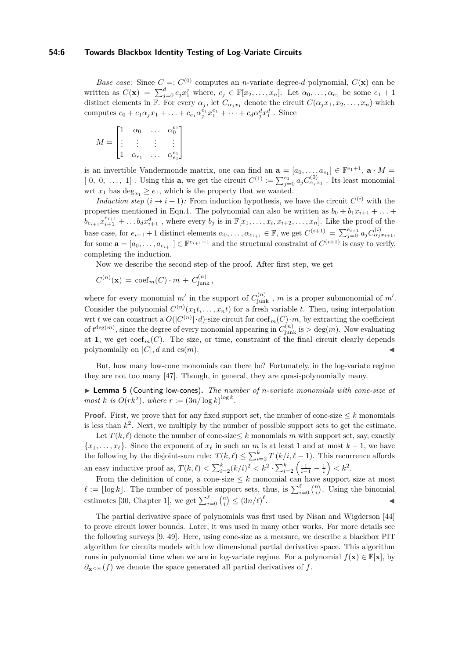#### **54:6 Towards Blackbox Identity Testing of Log-Variate Circuits**

*Base case:* Since  $C =: C^{(0)}$  computes an *n*-variate degree-*d* polynomial,  $C(\mathbf{x})$  can be written as  $C(\mathbf{x}) = \sum_{j=0}^{d} c_j x_1^j$  where,  $c_j \in \mathbb{F}[x_2, \ldots, x_n]$ . Let  $\alpha_0, \ldots, \alpha_{e_1}$  be some  $e_1 + 1$ distinct elements in  $\mathbb{F}$ . For every  $\alpha_j$ , let  $C_{\alpha_j x_1}$  denote the circuit  $C(\alpha_j x_1, x_2, \ldots, x_n)$  which computes  $c_0 + c_1 \alpha_j x_1 + \ldots + c_{e_1} \alpha_j^{e_1} x_1^{e_1} + \cdots + c_d \alpha_j^d x_1^d$ . Since

$$
M = \begin{bmatrix} 1 & \alpha_0 & \dots & \alpha_0^{e_1} \\ \vdots & \vdots & \vdots & \vdots \\ 1 & \alpha_{e_1} & \dots & \alpha_{e_1}^{e_1} \end{bmatrix}
$$

is an invertible Vandermonde matrix, one can find an  $\mathbf{a} = [a_0, \ldots, a_{e_1}] \in \mathbb{F}^{e_1+1}$ ,  $\mathbf{a} \cdot M =$  $[0, 0, \ldots, 1]$ . Using this **a**, we get the circuit  $C^{(1)} := \sum_{j=0}^{e_1} a_j C^{(0)}_{\alpha_j x_1}$ . Its least monomial wrt  $x_1$  has  $\deg_{x_1} \geq e_1$ , which is the property that we wanted.

*Induction step*  $(i \rightarrow i + 1)$ : From induction hypothesis, we have the circuit  $C^{(i)}$  with the properties mentioned in Eqn[.1.](#page-4-2) The polynomial can also be written as  $b_0 + b_1 x_{i+1} + \ldots$  $b_{e_{i+1}}x_{i+1}^{e_{i+1}} + \ldots b_dx_{i+1}^d$ , where every  $b_j$  is in  $\mathbb{F}[x_1,\ldots,x_i,x_{i+2},\ldots,x_n]$ . Like the proof of the base case, for  $e_{i+1}$  + 1 distinct elements  $\alpha_0, \ldots, \alpha_{e_{i+1}} \in \mathbb{F}$ , we get  $C^{(i+1)} = \sum_{j=0}^{e_{i+1}} a_j C^{(i)}_{\alpha_j x_{i+1}},$ for some  $\mathbf{a} = [a_0, \ldots, a_{e_{i+1}}] \in \mathbb{F}^{e_{i+1}+1}$  and the structural constraint of  $C^{(i+1)}$  is easy to verify, completing the induction.

Now we describe the second step of the proof. After first step, we get

$$
C^{(n)}(\mathbf{x})\, \cos F_m(C) \cdot m\, +\, C^{(n)}_{\text{junk}}\,,
$$

where for every monomial  $m'$  in the support of  $C_{\text{junk}}^{(n)}$ ,  $m$  is a proper submonomial of  $m'$ . Consider the polynomial  $C^{(n)}(x_1t, \ldots, x_nt)$  for a fresh variable *t*. Then, using interpolation wrt *t* we can construct a  $O(|C^{(n)}| \cdot d)$ -size circuit for  $\text{coef}_m(C) \cdot m$ , by extracting the coefficient of  $t^{\deg(m)}$ , since the degree of every monomial appearing in  $C_{\text{junk}}^{(n)}$  is  $> \deg(m)$ . Now evaluating at **1**, we get  $\text{coef}_m(C)$ . The size, or time, constraint of the final circuit clearly depends polynomially on  $|C|$ *, d* and cs $(m)$ .

But, how many low-cone monomials can there be? Fortunately, in the log-variate regime they are not too many [\[47\]](#page-14-18). Though, in general, they are quasi-polynomially many.

<span id="page-5-0"></span>I **Lemma 5** (Counting low-cones)**.** *The number of n-variate monomials with cone-size at most k is*  $O(rk^2)$ *, where*  $r := (3n/\log k)^{\log k}$ *.* 

**Proof.** First, we prove that for any fixed support set, the number of cone-size  $\leq k$  monomials is less than  $k^2$ . Next, we multiply by the number of possible support sets to get the estimate.

Let  $T(k, \ell)$  denote the number of cone-size  $\leq k$  monomials m with support set, say, exactly  ${x_1, \ldots, x_\ell}$ . Since the exponent of  $x_\ell$  in such an *m* is at least 1 and at most  $k-1$ , we have the following by the disjoint-sum rule:  $T(k, \ell) \leq \sum_{i=2}^{k} T(k/i, \ell - 1)$ . This recurrence affords an easy inductive proof as,  $T(k, \ell) < \sum_{i=2}^{k} (k/i)^2 < k^2 \cdot \sum_{i=2}^{k} \left( \frac{1}{i-1} - \frac{1}{i} \right) < k^2$ .

From the definition of cone, a cone-size  $\leq k$  monomial can have support size at most  $\ell := \lfloor \log k \rfloor$ . The number of possible support sets, thus, is  $\sum_{i=0}^{\ell} \binom{n}{i}$ . Using the binomial estimates [\[30,](#page-13-15) Chapter 1], we get  $\sum_{i=0}^{\ell} \binom{n}{i} \leq (3n/\ell)^{\ell}$ . John Park Research (1986)

The partial derivative space of polynomials was first used by Nisan and Wigderson [\[44\]](#page-14-14) to prove circuit lower bounds. Later, it was used in many other works. For more details see the following surveys [\[9,](#page-12-18) [49\]](#page-14-19). Here, using cone-size as a measure, we describe a blackbox PIT algorithm for circuits models with low dimensional partial derivative space. This algorithm runs in polynomial time when we are in log-variate regime. For a polynomial  $f(\mathbf{x}) \in \mathbb{F}[\mathbf{x}]$ , by *∂***x***<*<sup>∞</sup>(*f*) we denote the space generated all partial derivatives of *f*.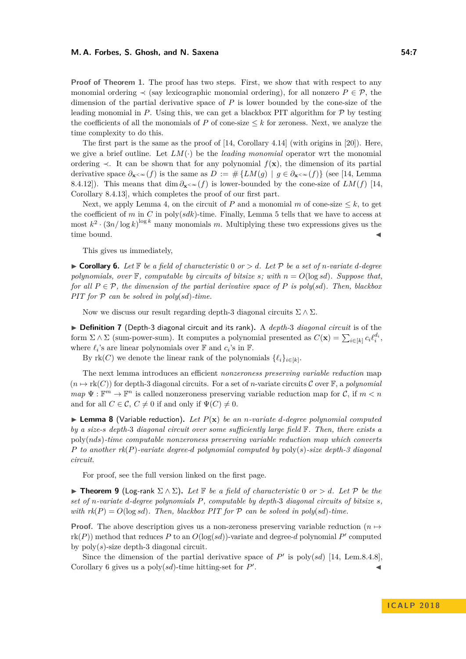**Proof of Theorem [1.](#page-2-2)** The proof has two steps. First, we show that with respect to any monomial ordering  $\prec$  (say lexicographic monomial ordering), for all nonzero  $P \in \mathcal{P}$ , the dimension of the partial derivative space of *P* is lower bounded by the cone-size of the leading monomial in  $P$ . Using this, we can get a blackbox PIT algorithm for  $P$  by testing the coefficients of all the monomials of  $P$  of cone-size  $\leq k$  for zeroness. Next, we analyze the time complexity to do this.

The first part is the same as the proof of  $[14, Corollary 4.14]$  $[14, Corollary 4.14]$  (with origins in  $[20]$ ). Here, we give a brief outline. Let  $LM(\cdot)$  be the *leading monomial* operator wrt the monomial ordering  $\prec$ . It can be shown that for any polynomial  $f(\mathbf{x})$ , the dimension of its partial derivative space  $\partial_{\mathbf{x} \leq \infty}(f)$  is the same as  $D := \# \{LM(g) \mid g \in \partial_{\mathbf{x} \leq \infty}(f)\}$  (see [\[14,](#page-12-16) Lemma 8.4.12]). This means that dim  $\partial_{\mathbf{x} \leq \infty}(f)$  is lower-bounded by the cone-size of *LM*(*f*) [\[14,](#page-12-16) Corollary 8.4.13], which completes the proof of our first part.

Next, we apply Lemma [4,](#page-4-1) on the circuit of  $P$  and a monomial  $m$  of cone-size  $\leq k$ , to get the coefficient of *m* in *C* in poly(*sdk*)-time. Finally, Lemma [5](#page-5-0) tells that we have to access at most  $k^2 \cdot (3n/\log k)^{\log k}$  many monomials *m*. Multiplying these two expressions gives us the time bound.

This gives us immediately,

<span id="page-6-0"></span> $\triangleright$  **Corollary 6.** Let  $\mathbb{F}$  be a field of characteristic 0 or  $> d$ . Let  $\mathcal{P}$  be a set of *n*-variate *d*-degree *polynomials, over*  $\mathbb{F}$ *, computable by circuits of bitsize s; with*  $n = O(\log sd)$ *. Suppose that, for all*  $P \in \mathcal{P}$ *, the dimension of the partial derivative space of*  $P$  *is poly(sd). Then, blackbox PIT for* P *can be solved in poly*(*sd*)*-time.*

Now we discuss our result regarding depth-3 diagonal circuits  $\Sigma \wedge \Sigma$ .

<span id="page-6-1"></span>▶ **Definition 7** (Depth-3 diagonal circuit and its rank). A *depth-3 diagonal circuit* is of the form  $\Sigma \wedge \Sigma$  (sum-power-sum). It computes a polynomial presented as  $C(\mathbf{x}) = \sum_{i \in [k]} c_i \ell_i^{d_i}$ , where  $\ell_i$ 's are linear polynomials over  $\mathbb{F}$  and  $c_i$ 's in  $\mathbb{F}$ .

By  $rk(C)$  we denote the linear rank of the polynomials  $\{\ell_i\}_{i \in [k]}$ .

The next lemma introduces an efficient *nonzeroness preserving variable reduction* map  $(n \mapsto \text{rk}(C))$  for depth-3 diagonal circuits. For a set of *n*-variate circuits C over F, a *polynomial*  $map \Psi : \mathbb{F}^m \to \mathbb{F}^n$  is called nonzeroness preserving variable reduction map for C, if  $m < n$ and for all  $C \in \mathcal{C}$ ,  $C \neq 0$  if and only if  $\Psi(C) \neq 0$ .

<span id="page-6-3"></span>**I Lemma 8** (Variable reduction). Let  $P(\mathbf{x})$  be an *n*-variate *d*-degree polynomial computed *by a size-s depth-*3 *diagonal circuit over some sufficiently large field* F*. Then, there exists a* poly(*nds*)*-time computable nonzeroness preserving variable reduction map which converts P to another rk*(*P*)*-variate degree-d polynomial computed by* poly(*s*)*-size depth-3 diagonal circuit.*

For proof, see the full version linked on the first page.

<span id="page-6-2"></span>**► Theorem 9** (Log-rank  $\Sigma \wedge \Sigma$ ). Let **F** be a field of characteristic 0 or > d. Let **P** be the *set of n-variate d-degree polynomials P, computable by depth-*3 *diagonal circuits of bitsize s, with rk*( $P$ ) =  $O(\log sd)$ *. Then, blackbox PIT for*  $P$  *can be solved in poly*( $sd$ )*-time.* 

**Proof.** The above description gives us a non-zeroness preserving variable reduction ( $n \mapsto$  $rk(P)$ ) method that reduces P to an  $O(log(sd))$ -variate and degree- $d$  polynomial P' computed by poly(*s*)-size depth-3 diagonal circuit.

Since the dimension of the partial derivative space of  $P'$  is poly(*sd*) [\[14,](#page-12-16) Lem.8.4.8], Corollary [6](#page-6-0) gives us a poly $(sd)$ -time hitting-set for  $P'$ . John Paris, John Paris, John Paris, John Paris, John Paris, John Paris, John Paris, John Paris, John Paris,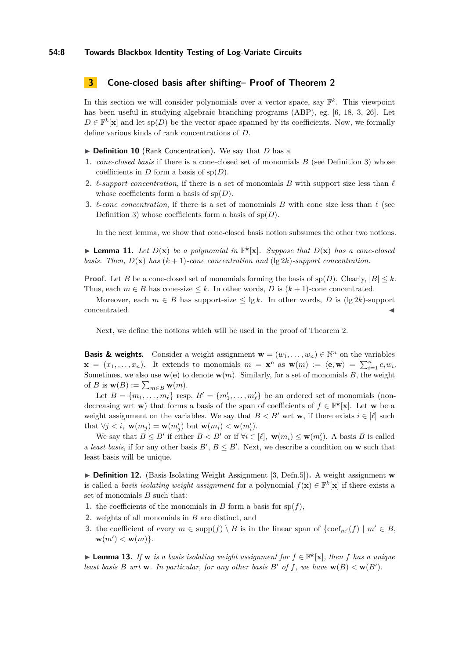#### **54:8 Towards Blackbox Identity Testing of Log-Variate Circuits**

#### <span id="page-7-2"></span>**3 Cone-closed basis after shifting– Proof of Theorem [2](#page-3-0)**

In this section we will consider polynomials over a vector space, say  $\mathbb{F}^k$ . This viewpoint has been useful in studying algebraic branching programs (ABP), eg. [\[6,](#page-12-11) [18,](#page-12-12) [3,](#page-12-13) [26\]](#page-13-6). Let  $D \in \mathbb{F}^k[\mathbf{x}]$  and let sp(*D*) be the vector space spanned by its coefficients. Now, we formally define various kinds of rank concentrations of *D*.

- ▶ Definition 10 (Rank Concentration). We say that *D* has a
- **1.** *cone-closed basis* if there is a cone-closed set of monomials *B* (see Definition [3\)](#page-4-0) whose coefficients in *D* form a basis of  $sp(D)$ .
- **2.**  $\ell$ -*support concentration*, if there is a set of monomials *B* with support size less than  $\ell$ whose coefficients form a basis of sp(*D*).
- **3.**  $\ell$ -*cone concentration*, if there is a set of monomials *B* with cone size less than  $\ell$  (see Definition [3\)](#page-4-0) whose coefficients form a basis of sp(*D*).

In the next lemma, we show that cone-closed basis notion subsumes the other two notions.

<span id="page-7-0"></span>**Example 11.** Let  $D(\mathbf{x})$  be a polynomial in  $\mathbb{F}^k[\mathbf{x}]$ . Suppose that  $D(\mathbf{x})$  has a cone-closed *basis. Then,*  $D(\mathbf{x})$  *has*  $(k+1)$ *-cone concentration and*  $(\lg 2k)$ *-support concentration.* 

**Proof.** Let *B* be a cone-closed set of monomials forming the basis of  $\text{sp}(D)$ . Clearly,  $|B| \leq k$ . Thus, each  $m \in B$  has cone-size  $\leq k$ . In other words, D is  $(k + 1)$ -cone concentrated.

Moreover, each  $m \in B$  has support-size  $\leq \lg k$ . In other words, *D* is  $(\lg 2k)$ -support concentrated.

Next, we define the notions which will be used in the proof of Theorem [2.](#page-3-0)

**Basis & weights.** Consider a weight assignment  $\mathbf{w} = (w_1, \dots, w_n) \in \mathbb{N}^n$  on the variables  $\mathbf{x} = (x_1, \ldots, x_n)$ . It extends to monomials  $m = \mathbf{x}^e$  as  $\mathbf{w}(m) := \langle \mathbf{e}, \mathbf{w} \rangle = \sum_{i=1}^n e_i w_i$ . Sometimes, we also use  $\mathbf{w}(\mathbf{e})$  to denote  $\mathbf{w}(m)$ . Similarly, for a set of monomials *B*, the weight of *B* is  $\mathbf{w}(B) := \sum_{m \in B} \mathbf{w}(m)$ .

Let  $B = \{m_1, \ldots, m_\ell\}$  resp.  $B' = \{m'_1, \ldots, m'_\ell\}$  be an ordered set of monomials (nondecreasing wrt **w**) that forms a basis of the span of coefficients of  $f \in \mathbb{F}^k[\mathbf{x}]$ . Let **w** be a weight assignment on the variables. We say that  $B < B'$  wrt **w**, if there exists  $i \in [\ell]$  such that  $\forall j < i$ ,  $\mathbf{w}(m_j) = \mathbf{w}(m'_j)$  but  $\mathbf{w}(m_i) < \mathbf{w}(m'_i)$ .

We say that  $B \leq B'$  if either  $B < B'$  or if  $\forall i \in [\ell], \mathbf{w}(m_i) \leq \mathbf{w}(m'_i)$ . A basis B is called a *least basis*, if for any other basis  $B'$ ,  $B \leq B'$ . Next, we describe a condition on **w** such that least basis will be unique.

<span id="page-7-1"></span>▶ **Definition 12.** (Basis Isolating Weight Assignment [\[3,](#page-12-13) Defn.5]). A weight assignment **w** is called a *basis isolating weight assignment* for a polynomial  $f(\mathbf{x}) \in \mathbb{F}^k[\mathbf{x}]$  if there exists a set of monomials *B* such that:

- **1.** the coefficients of the monomials in *B* form a basis for  $sp(f)$ ,
- **2.** weights of all monomials in *B* are distinct, and
- **3.** the coefficient of every  $m \in \text{supp}(f) \setminus B$  is in the linear span of  $\{\text{coef}_{m'}(f) \mid m' \in B\}$ ,  $\mathbf{w}(m') < \mathbf{w}(m)$ .

<span id="page-7-3"></span>▶ **Lemma 13.** *If* **w** *is a basis isolating weight assignment for*  $f \in \mathbb{F}^k[\mathbf{x}]$ *, then f has a unique least basis B wrt* **w***. In particular, for any other basis B*<sup>*'*</sup> *of f, we have* **w**(*B*)  $\lt$ **w**(*B*<sup>'</sup>).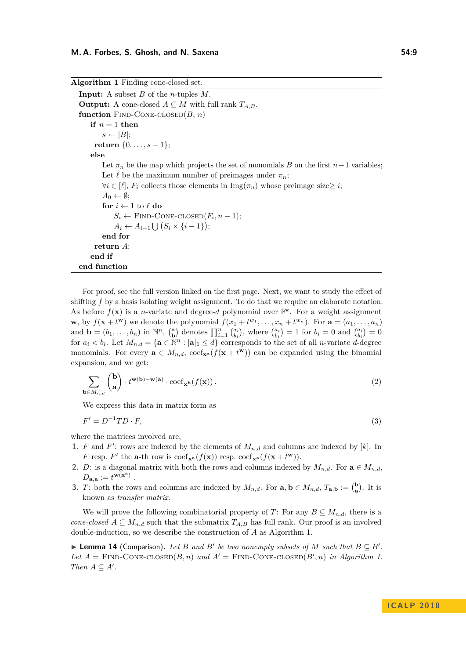<span id="page-8-0"></span>**Algorithm 1** Finding cone-closed set. **Input:** A subset *B* of the *n*-tuples *M*. **Output:** A cone-closed  $A \subseteq M$  with full rank  $T_{A,B}$ . function  $\text{FIND-CONE-CLOSED}(B, n)$ **if**  $n = 1$  **then**  $s \leftarrow |B|$ ; **return**  $\{0, \ldots, s-1\};$ **else** Let  $\pi_n$  be the map which projects the set of monomials *B* on the first *n*−1 variables; Let  $\ell$  be the maximum number of preimages under  $\pi_n$ ;  $∀i ∈ [ℓ], F_i$  collects those elements in Img( $π_n$ ) whose preimage size≥ *i*;  $A_0 \leftarrow \emptyset$ ; **for**  $i \leftarrow 1$  to  $\ell$  **do**  $S_i \leftarrow$  FIND-CONE-CLOSED $(F_i, n-1)$ ;  $A_i \leftarrow A_{i-1} \bigcup (S_i \times \{i-1\});$ **end for return** *A*; **end if end function**

For proof, see the full version linked on the first page. Next, we want to study the effect of shifting f by a basis isolating weight assignment. To do that we require an elaborate notation. As before  $f(\mathbf{x})$  is a *n*-variate and degree-*d* polynomial over  $\mathbb{F}^k$ . For a weight assignment **w**, by  $f(\mathbf{x} + t^{\mathbf{w}})$  we denote the polynomial  $f(x_1 + t^{w_1},..., x_n + t^{w_n})$ . For  $\mathbf{a} = (a_1,..., a_n)$ and  $\mathbf{b} = (b_1, \ldots, b_n)$  in  $\mathbb{N}^n$ ,  $\begin{pmatrix} \mathbf{a} \\ \mathbf{b} \end{pmatrix}$  denotes  $\prod_{i=1}^n \binom{a_i}{b_i}$ , where  $\binom{a_i}{b_i} = 1$  for  $b_i = 0$  and  $\binom{a_i}{b_i} = 0$ for  $a_i < b_i$ . Let  $M_{n,d} = {\mathbf{a} \in \mathbb{N}^n : |\mathbf{a}|_1 \le d}$  corresponds to the set of all *n*-variate *d*-degree monomials. For every  $\mathbf{a} \in M_{n,d}$ ,  $\text{coeff}_{\mathbf{x}^{\mathbf{a}}}(f(\mathbf{x} + t^{\mathbf{w}}))$  can be expanded using the binomial expansion, and we get:

<span id="page-8-2"></span>
$$
\sum_{\mathbf{b}\in M_{n,d}} \binom{\mathbf{b}}{\mathbf{a}} \cdot t^{\mathbf{w}(\mathbf{b})-\mathbf{w}(\mathbf{a})} \cdot \mathrm{coeff}_{\mathbf{x}^{\mathbf{b}}}(f(\mathbf{x})). \tag{2}
$$

<span id="page-8-1"></span>We express this data in matrix form as

$$
F' = D^{-1}TD \cdot F,\tag{3}
$$

where the matrices involved are,

- **1.** *F* and *F*': rows are indexed by the elements of  $M_{n,d}$  and columns are indexed by [k]. In *F* resp. *F*<sup> $\prime$ </sup> the **a**-th row is coef<sub>**x**<sup>a</sup></sub> (*f*(**x**)) resp. coef<sub>**x**<sup>a</sup></sub> (*f*(**x** + *t*<sup>**w**</sup>)).
- **2.** *D*: is a diagonal matrix with both the rows and columns indexed by  $M_{n,d}$ . For  $\mathbf{a} \in M_{n,d}$ .  $D_{\mathbf{a},\mathbf{a}} := t^{\mathbf{w}(\mathbf{x}^{\mathbf{a}})}$ .
- **3.** *T*: both the rows and columns are indexed by  $M_{n,d}$ . For  $\mathbf{a}, \mathbf{b} \in M_{n,d}$ ,  $T_{\mathbf{a},\mathbf{b}} := \begin{pmatrix} \mathbf{b} \\ \mathbf{a} \end{pmatrix}$ . It is known as *transfer matrix*.

We will prove the following combinatorial property of *T*: For any  $B \subseteq M_{n,d}$ , there is a *cone-closed*  $A \subseteq M_{n,d}$  such that the submatrix  $T_{A,B}$  has full rank. Our proof is an involved double-induction, so we describe the construction of *A* as Algorithm [1.](#page-8-0)

▶ **Lemma 14** (Comparison). Let *B* and *B*<sup>*b*</sup> be two nonempty subsets of *M* such that  $B \subseteq B'$ . Let  $A = \text{FIND-CONE-CLOSED}(B, n)$  and  $A' = \text{FIND-CONE-CLOSED}(B', n)$  in Algorithm [1.](#page-8-0) *Then*  $A \subseteq A'$ .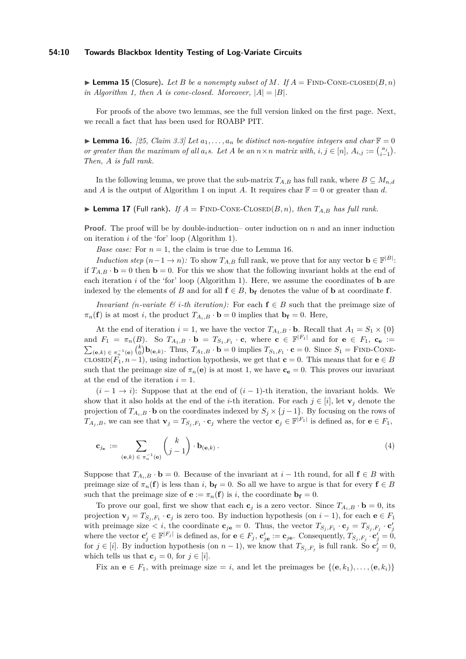#### **54:10 Towards Blackbox Identity Testing of Log-Variate Circuits**

<span id="page-9-3"></span> $\blacktriangleright$  **Lemma 15** (Closure). Let *B* be a nonempty subset of *M*. If  $A =$  FIND-CONE-CLOSED(*B, n*) *in Algorithm [1,](#page-8-0) then A is cone-closed. Moreover,*  $|A| = |B|$ *.* 

For proofs of the above two lemmas, see the full version linked on the first page. Next, we recall a fact that has been used for ROABP PIT.

<span id="page-9-1"></span>**Lemma 16.** [\[25,](#page-13-7) Claim 3.3] Let  $a_1, \ldots, a_n$  be distinct non-negative integers and char  $\mathbb{F} = 0$ or greater than the maximum of all  $a_i s$ . Let A be an  $n \times n$  matrix with,  $i, j \in [n]$ ,  $A_{i,j} := \binom{a_j}{i-1}$ . *Then, A is full rank.*

In the following lemma, we prove that the sub-matrix  $T_{A,B}$  has full rank, where  $B \subseteq M_{n,d}$ and *A* is the output of Algorithm [1](#page-8-0) on input *A*. It requires char  $\mathbb{F} = 0$  or greater than *d*.

<span id="page-9-0"></span> $\blacktriangleright$  **Lemma 17** (Full rank). *If*  $A =$  FIND-CONE-CLOSED( $B, n$ ), then  $T_{A,B}$  has full rank.

**Proof.** The proof will be by double-induction– outer induction on *n* and an inner induction on iteration *i* of the 'for' loop (Algorithm [1\)](#page-8-0).

*Base case:* For  $n = 1$ , the claim is true due to Lemma [16.](#page-9-1)

*Induction step*  $(n-1 \to n)$ : To show  $T_{A,B}$  full rank, we prove that for any vector  $\mathbf{b} \in \mathbb{F}^{|B|}$ : if  $T_{A,B} \cdot \mathbf{b} = 0$  then  $\mathbf{b} = 0$ . For this we show that the following invariant holds at the end of each iteration *i* of the 'for' loop (Algorithm [1\)](#page-8-0). Here, we assume the coordinates of **b** are indexed by the elements of *B* and for all  $f \in B$ ,  $b_f$  denotes the value of **b** at coordinate **f**.

*Invariant (n-variate*  $\mathcal{C}$  *<i>i*-th *iteration)*: For each  $f \in B$  such that the preimage size of  $\pi_n(\mathbf{f})$  is at most *i*, the product  $T_{A_i,B} \cdot \mathbf{b} = 0$  implies that  $\mathbf{b_f} = 0$ . Here,

At the end of iteration  $i = 1$ , we have the vector  $T_{A_1,B} \cdot \mathbf{b}$ . Recall that  $A_1 = S_1 \times \{0\}$ and  $F_1 = \pi_n(B)$ . So  $T_{A_1,B} \cdot \mathbf{b} = T_{S_1,F_1} \cdot \mathbf{c}$ , where  $\mathbf{c} \in \mathbb{F}^{|F_1|}$  and for  $\mathbf{e} \in F_1$ ,  $\mathbf{c}_{\mathbf{e}} :=$  $\sum_{(\mathbf{e},k)\in\pi_n^{-1}(\mathbf{e})} {k \choose 0} \mathbf{b}_{(\mathbf{e},k)}$ . Thus,  $T_{A_1,B} \cdot \mathbf{b} = 0$  implies  $T_{S_1,F_1} \cdot \mathbf{c} = 0$ . Since  $S_1 = \text{FIND-CONF-}$  $\text{CLOSED}(F_1, n-1)$ , using induction hypothesis, we get that **c** = 0. This means that for **e**  $\in$  *B* such that the preimage size of  $\pi_n(\mathbf{e})$  is at most 1, we have  $\mathbf{c}_\mathbf{e} = 0$ . This proves our invariant at the end of the iteration  $i = 1$ .

 $(i-1 \rightarrow i)$ : Suppose that at the end of  $(i-1)$ -th iteration, the invariant holds. We show that it also holds at the end of the *i*-th iteration. For each  $j \in [i]$ , let  $\mathbf{v}_j$  denote the projection of  $T_{A_i,B} \cdot \mathbf{b}$  on the coordinates indexed by  $S_j \times \{j-1\}$ . By focusing on the rows of *T*<sub>*A*<sup>*j*</sup>,*B*, we can see that  $\mathbf{v}_j = T_{S_j, F_1} \cdot \mathbf{c}_j$  where the vector  $\mathbf{c}_j \in \mathbb{F}^{|F_1|}$  is defined as, for  $\mathbf{e} \in F_1$ ,</sub>

<span id="page-9-2"></span>
$$
\mathbf{c}_{j_{\mathbf{e}}} := \sum_{(\mathbf{e},k) \in \pi_n^{-1}(\mathbf{e})} {k \choose j-1} \cdot \mathbf{b}_{(\mathbf{e},k)}.
$$
 (4)

Suppose that  $T_{A_i,B} \cdot \mathbf{b} = 0$ . Because of the invariant at  $i-1$ th round, for all  $\mathbf{f} \in B$  with preimage size of  $\pi_n(\mathbf{f})$  is less than *i*,  $\mathbf{b_f} = 0$ . So all we have to argue is that for every  $\mathbf{f} \in B$ such that the preimage size of  $\mathbf{e} := \pi_n(\mathbf{f})$  is *i*, the coordinate  $\mathbf{b_f} = 0$ .

To prove our goal, first we show that each  $\mathbf{c}_j$  is a zero vector. Since  $T_{A_i,B} \cdot \mathbf{b} = 0$ , its projection  $\mathbf{v}_j = T_{S_j, F_1} \cdot \mathbf{c}_j$  is zero too. By induction hypothesis (on  $i - 1$ ), for each  $\mathbf{e} \in F_1$ with preimage size  $\lt i$ , the coordinate  $\mathbf{c}_{j\mathbf{e}} = 0$ . Thus, the vector  $T_{S_j, F_1} \cdot \mathbf{c}_j = T_{S_j, F_j} \cdot \mathbf{c}'_j$ where the vector  $\mathbf{c}'_j \in \mathbb{F}^{|F_j|}$  is defined as, for  $\mathbf{e} \in F_j$ ,  $\mathbf{c}'_{j\mathbf{e}} := \mathbf{c}_{j\mathbf{e}}$ . Consequently,  $T_{S_j, F_j} \cdot \mathbf{c}'_j = 0$ , for  $j \in [i]$ . By induction hypothesis (on  $n-1$ ), we know that  $T_{S_j, F_j}$  is full rank. So  $c_j^j = 0$ , which tells us that  $\mathbf{c}_j = 0$ , for  $j \in [i]$ .

Fix an  $e \in F_1$ , with preimage size = *i*, and let the preimages be  $\{(e, k_1), \ldots, (e, k_i)\}\$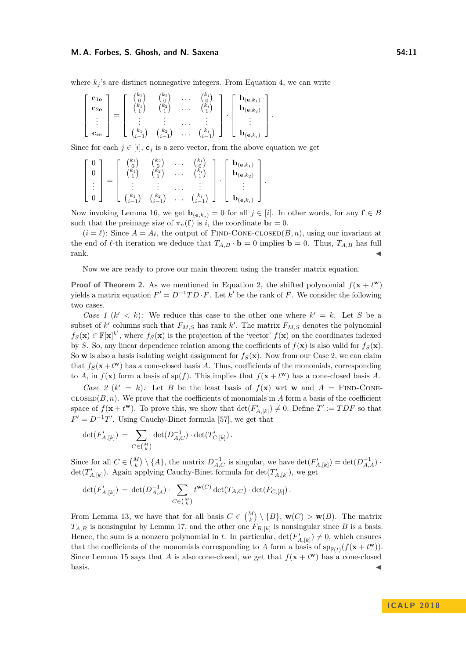#### **M. A. Forbes, S. Ghosh, and N. Saxena 54:11 54:11**

where  $k_i$ 's are distinct nonnegative integers. From Equation [4,](#page-9-2) we can write

$$
\left[\begin{array}{c} \mathbf{c}_{1\mathbf{e}} \\ \mathbf{c}_{2\mathbf{e}} \\ \vdots \\ \mathbf{c}_{i\mathbf{e}} \end{array}\right] = \left[\begin{array}{cccc} {k_1 \choose 0} & {k_2 \choose 0} & \cdots & {k_i \choose 0} \\ {k_1 \choose 1} & {k_2 \choose 1} & \cdots & {k_i \choose 1} \\ \vdots & \vdots & \cdots & \vdots \\ {k_1 \choose i-1} & {k_2 \choose i-1} & \cdots & {k_i \choose i-1} \end{array}\right] \cdot \left[\begin{array}{c} \mathbf{b}_{(\mathbf{e},k_1)} \\ \mathbf{b}_{(\mathbf{e},k_2)} \\ \vdots \\ \mathbf{b}_{(\mathbf{e},k_i)} \end{array}\right].
$$

Since for each  $j \in [i]$ ,  $\mathbf{c}_j$  is a zero vector, from the above equation we get

$$
\begin{bmatrix}\n0 \\
0 \\
\vdots \\
0\n\end{bmatrix} = \begin{bmatrix}\n\binom{k_1}{0} & \binom{k_2}{0} & \cdots & \binom{k_i}{0} \\
\binom{k_1}{1} & \binom{k_2}{1} & \cdots & \binom{k_i}{1} \\
\vdots & \vdots & \ddots & \vdots \\
\binom{k_1}{i-1} & \binom{k_2}{i-1} & \cdots & \binom{k_i}{i-1}\n\end{bmatrix} \cdot \begin{bmatrix}\n\mathbf{b}_{(\mathbf{e},k_1)} \\
\mathbf{b}_{(\mathbf{e},k_2)} \\
\vdots \\
\mathbf{b}_{(\mathbf{e},k_i)}\n\end{bmatrix}
$$

Now invoking Lemma [16,](#page-9-1) we get  $\mathbf{b}_{(\mathbf{e},k_i)} = 0$  for all  $j \in [i]$ . In other words, for any  $\mathbf{f} \in B$ such that the preimage size of  $\pi_n(\mathbf{f})$  is *i*, the coordinate  $\mathbf{b_f} = 0$ .

*.*

 $(i = \ell)$ : Since  $A = A_{\ell}$ , the output of FIND-CONE-CLOSED $(B, n)$ , using our invariant at the end of  $\ell$ -th iteration we deduce that  $T_{A,B} \cdot \mathbf{b} = 0$  implies  $\mathbf{b} = 0$ . Thus,  $T_{A,B}$  has full  $rank.$ 

Now we are ready to prove our main theorem using the transfer matrix equation.

**Proof of Theorem [2.](#page-3-0)** As we mentioned in Equation [2,](#page-8-2) the shifted polynomial  $f(\mathbf{x} + t^{\mathbf{w}})$ yields a matrix equation  $F' = D^{-1}TD \cdot F$ . Let  $k'$  be the rank of *F*. We consider the following two cases.

*Case 1*  $(k' < k)$ : We reduce this case to the other one where  $k' = k$ . Let *S* be a subset of *k*<sup> $\prime$ </sup> columns such that  $F_{M,S}$  has rank *k*<sup> $\prime$ </sup>. The matrix  $F_{M,S}$  denotes the polynomial  $f_S(\mathbf{x}) \in \mathbb{F}[\mathbf{x}]^{k'}$ , where  $f_S(\mathbf{x})$  is the projection of the 'vector'  $f(\mathbf{x})$  on the coordinates indexed by *S*. So, any linear dependence relation among the coefficients of  $f(\mathbf{x})$  is also valid for  $f_S(\mathbf{x})$ . So **w** is also a basis isolating weight assignment for  $f_S(\mathbf{x})$ . Now from our Case 2, we can claim that  $f_S(\mathbf{x} + t^{\mathbf{w}})$  has a cone-closed basis *A*. Thus, coefficients of the monomials, corresponding to *A*, in  $f(\mathbf{x})$  form a basis of sp(*f*). This implies that  $f(\mathbf{x} + t^{\mathbf{w}})$  has a cone-closed basis *A*.

*Case 2* ( $k' = k$ ): Let *B* be the least basis of  $f(\mathbf{x})$  wrt **w** and  $A = \text{FIND-CONF-}$  $\text{closen}(B, n)$ . We prove that the coefficients of monomials in *A* form a basis of the coefficient space of  $f(\mathbf{x} + t^{\mathbf{w}})$ . To prove this, we show that  $\det(F'_{A,[k]}) \neq 0$ . Define  $T' := TDF$  so that  $F' = D^{-1}T'$ . Using Cauchy-Binet formula [\[57\]](#page-15-2), we get that

$$
\det(F'_{A,[k]}) \, = \, \sum_{C \in \binom{M}{k}} \det(D_{A,C}^{-1}) \cdot \det(T'_{C,[k]}) \, .
$$

Since for all  $C \in \binom{M}{k} \setminus \{A\}$ , the matrix  $D_{A,C}^{-1}$  is singular, we have  $\det(F'_{A,[k]}) = \det(D_{A,A}^{-1})$ .  $\det(T'_{A,[k]})$ . Again applying Cauchy-Binet formula for  $\det(T'_{A,[k]})$ , we get

$$
\det(F'_{A,[k]}) \,=\, \det(D^{-1}_{A,A}) \cdot \sum_{C \in {M \choose k}} t^{\mathbf{w}(C)} \det(T_{A,C}) \cdot \det(F_{C,[k]}) \,.
$$

From Lemma [13,](#page-7-3) we have that for all basis  $C \in \binom{M}{k} \setminus \{B\}$ ,  $\mathbf{w}(C) > \mathbf{w}(B)$ . The matrix  $T_{A,B}$  is nonsingular by Lemma [17,](#page-9-0) and the other one  $F_{B,[k]}$  is nonsingular since *B* is a basis. Hence, the sum is a nonzero polynomial in *t*. In particular,  $\det(F'_{A,[k]}) \neq 0$ , which ensures that the coefficients of the monomials corresponding to *A* form a basis of  $\operatorname{sp}_{\mathbb{F}(t)}(f(\mathbf{x} + t^{\mathbf{w}}))$ . Since Lemma [15](#page-9-3) says that *A* is also cone-closed, we get that  $f(\mathbf{x} + t^{\mathbf{w}})$  has a cone-closed  $\blacksquare$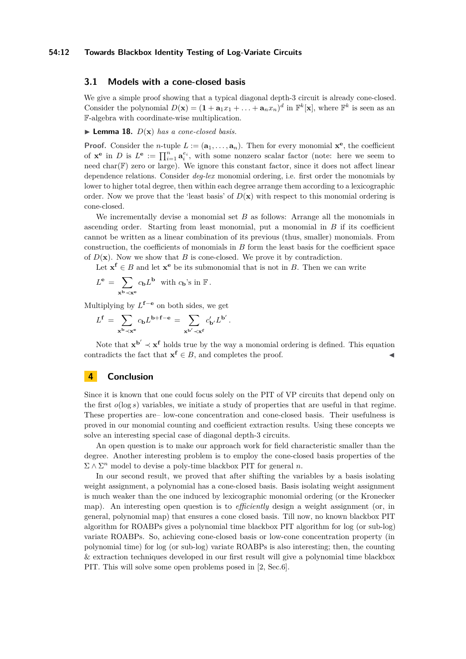#### **54:12 Towards Blackbox Identity Testing of Log-Variate Circuits**

## **3.1 Models with a cone-closed basis**

We give a simple proof showing that a typical diagonal depth-3 circuit is already cone-closed. Consider the polynomial  $D(\mathbf{x}) = (1 + \mathbf{a}_1 x_1 + \dots + \mathbf{a}_n x_n)^d$  in  $\mathbb{F}^k[\mathbf{x}]$ , where  $\mathbb{F}^k$  is seen as an F-algebra with coordinate-wise multiplication.

#### <span id="page-11-0"></span> $\blacktriangleright$  **Lemma 18.**  $D(x)$  *has a cone-closed basis.*

**Proof.** Consider the *n*-tuple  $L := (\mathbf{a}_1, \ldots, \mathbf{a}_n)$ . Then for every monomial  $\mathbf{x}^e$ , the coefficient of  $\mathbf{x}^e$  in *D* is  $L^e := \prod_{i=1}^n \mathbf{a}_i^{e_i}$ , with some nonzero scalar factor (note: here we seem to need char(F) zero or large). We ignore this constant factor, since it does not affect linear dependence relations. Consider *deg-lex* monomial ordering, i.e. first order the monomials by lower to higher total degree, then within each degree arrange them according to a lexicographic order. Now we prove that the 'least basis' of  $D(\mathbf{x})$  with respect to this monomial ordering is cone-closed.

We incrementally devise a monomial set *B* as follows: Arrange all the monomials in ascending order. Starting from least monomial, put a monomial in *B* if its coefficient cannot be written as a linear combination of its previous (thus, smaller) monomials. From construction, the coefficients of monomials in *B* form the least basis for the coefficient space of  $D(\mathbf{x})$ . Now we show that *B* is cone-closed. We prove it by contradiction.

Let  $\mathbf{x}^{\mathbf{f}} \in B$  and let  $\mathbf{x}^{\mathbf{e}}$  be its submonomial that is not in *B*. Then we can write

*.*

$$
L^{\mathbf{e}} \,=\, \sum_{\mathbf{x}^{\mathbf{b}} \prec \mathbf{x}^{\mathbf{e}}} c_{\mathbf{b}} L^{\mathbf{b}} \ \ \text{with} \ c_{\mathbf{b}}\text{'s in } \mathbb{F} \,.
$$

Multiplying by *L* **<sup>f</sup>**−**<sup>e</sup>** on both sides, we get

$$
L^{\mathbf{f}} = \sum_{\mathbf{x}^{\mathbf{b}} \prec \mathbf{x}^{\mathbf{e}}} c_{\mathbf{b}} L^{\mathbf{b} + \mathbf{f} - \mathbf{e}} = \sum_{\mathbf{x}^{\mathbf{b}'} \prec \mathbf{x}^{\mathbf{f}}} c_{\mathbf{b}'}' L^{\mathbf{b}'}
$$

Note that  $\mathbf{x}^{b'} \prec \mathbf{x}^f$  holds true by the way a monomial ordering is defined. This equation contradicts the fact that  $\mathbf{x}^f \in B$ , and completes the proof.

## **4 Conclusion**

Since it is known that one could focus solely on the PIT of VP circuits that depend only on the first  $o(\log s)$  variables, we initiate a study of properties that are useful in that regime. These properties are– low-cone concentration and cone-closed basis. Their usefulness is proved in our monomial counting and coefficient extraction results. Using these concepts we solve an interesting special case of diagonal depth-3 circuits.

An open question is to make our approach work for field characteristic smaller than the degree. Another interesting problem is to employ the cone-closed basis properties of the  $\Sigma \wedge \Sigma^n$  model to devise a poly-time blackbox PIT for general *n*.

In our second result, we proved that after shifting the variables by a basis isolating weight assignment, a polynomial has a cone-closed basis. Basis isolating weight assignment is much weaker than the one induced by lexicographic monomial ordering (or the Kronecker map). An interesting open question is to *efficiently* design a weight assignment (or, in general, polynomial map) that ensures a cone closed basis. Till now, no known blackbox PIT algorithm for ROABPs gives a polynomial time blackbox PIT algorithm for log (or sub-log) variate ROABPs. So, achieving cone-closed basis or low-cone concentration property (in polynomial time) for log (or sub-log) variate ROABPs is also interesting; then, the counting & extraction techniques developed in our first result will give a polynomial time blackbox PIT. This will solve some open problems posed in [\[2,](#page-12-2) Sec.6].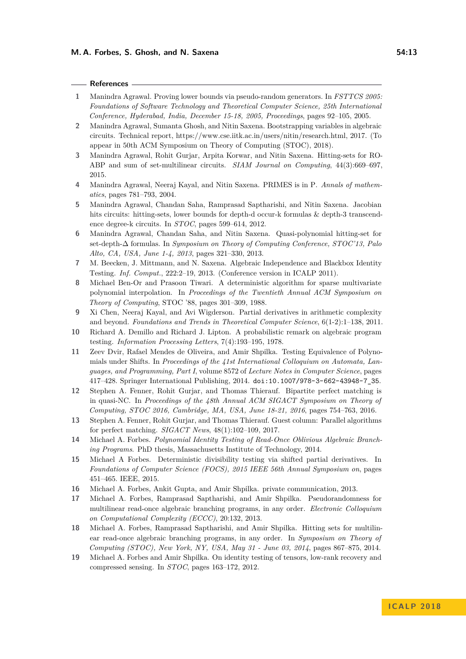#### **References**

- <span id="page-12-1"></span>**1** Manindra Agrawal. Proving lower bounds via pseudo-random generators. In *FSTTCS 2005: Foundations of Software Technology and Theoretical Computer Science, 25th International Conference, Hyderabad, India, December 15-18, 2005, Proceedings*, pages 92–105, 2005.
- <span id="page-12-2"></span>**2** Manindra Agrawal, Sumanta Ghosh, and Nitin Saxena. Bootstrapping variables in algebraic circuits. Technical report, https://www.cse.iitk.ac.in/users/nitin/research.html, 2017. (To appear in 50th ACM Symposium on Theory of Computing (STOC), 2018).
- <span id="page-12-13"></span>**3** Manindra Agrawal, Rohit Gurjar, Arpita Korwar, and Nitin Saxena. Hitting-sets for RO-ABP and sum of set-multilinear circuits. *SIAM Journal on Computing*, 44(3):669–697, 2015.
- <span id="page-12-3"></span>**4** Manindra Agrawal, Neeraj Kayal, and Nitin Saxena. PRIMES is in P. *Annals of mathematics*, pages 781–793, 2004.
- <span id="page-12-7"></span>**5** Manindra Agrawal, Chandan Saha, Ramprasad Saptharishi, and Nitin Saxena. Jacobian hits circuits: hitting-sets, lower bounds for depth-d occur-k formulas & depth-3 transcendence degree-k circuits. In *STOC*, pages 599–614, 2012.
- <span id="page-12-11"></span>**6** Manindra Agrawal, Chandan Saha, and Nitin Saxena. Quasi-polynomial hitting-set for set-depth-∆ formulas. In *Symposium on Theory of Computing Conference, STOC'13, Palo Alto, CA, USA, June 1-4, 2013*, pages 321–330, 2013.
- <span id="page-12-8"></span>**7** M. Beecken, J. Mittmann, and N. Saxena. Algebraic Independence and Blackbox Identity Testing. *Inf. Comput.*, 222:2–19, 2013. (Conference version in ICALP 2011).
- <span id="page-12-6"></span>**8** Michael Ben-Or and Prasoon Tiwari. A deterministic algorithm for sparse multivariate polynomial interpolation. In *Proceedings of the Twentieth Annual ACM Symposium on Theory of Computing*, STOC '88, pages 301–309, 1988.
- <span id="page-12-18"></span>**9** Xi Chen, Neeraj Kayal, and Avi Wigderson. Partial derivatives in arithmetic complexity and beyond. *Foundations and Trends in Theoretical Computer Science*, 6(1-2):1–138, 2011.
- <span id="page-12-0"></span>**10** Richard A. Demillo and Richard J. Lipton. A probabilistic remark on algebraic program testing. *Information Processing Letters*, 7(4):193–195, 1978.
- <span id="page-12-4"></span>**11** Zeev Dvir, Rafael Mendes de Oliveira, and Amir Shpilka. Testing Equivalence of Polynomials under Shifts. In *Proceedings of the 41st International Colloquium on Automata, Languages, and Programming, Part I*, volume 8572 of *Lecture Notes in Computer Science*, pages 417–428. Springer International Publishing, 2014. [doi:10.1007/978-3-662-43948-7\\_35](http://dx.doi.org/10.1007/978-3-662-43948-7_35).
- <span id="page-12-14"></span>**12** Stephen A. Fenner, Rohit Gurjar, and Thomas Thierauf. Bipartite perfect matching is in quasi-NC. In *Proceedings of the 48th Annual ACM SIGACT Symposium on Theory of Computing, STOC 2016, Cambridge, MA, USA, June 18-21, 2016*, pages 754–763, 2016.
- <span id="page-12-5"></span>**13** Stephen A. Fenner, Rohit Gurjar, and Thomas Thierauf. Guest column: Parallel algorithms for perfect matching. *SIGACT News*, 48(1):102–109, 2017.
- <span id="page-12-16"></span>**14** Michael A. Forbes. *Polynomial Identity Testing of Read-Once Oblivious Algebraic Branching Programs*. PhD thesis, Massachusetts Institute of Technology, 2014.
- <span id="page-12-9"></span>**15** Michael A Forbes. Deterministic divisibility testing via shifted partial derivatives. In *Foundations of Computer Science (FOCS), 2015 IEEE 56th Annual Symposium on*, pages 451–465. IEEE, 2015.
- <span id="page-12-15"></span>**16** Michael A. Forbes, Ankit Gupta, and Amir Shpilka. private communication, 2013.
- <span id="page-12-17"></span>**17** Michael A. Forbes, Ramprasad Saptharishi, and Amir Shpilka. Pseudorandomness for multilinear read-once algebraic branching programs, in any order. *Electronic Colloquium on Computational Complexity (ECCC)*, 20:132, 2013.
- <span id="page-12-12"></span>**18** Michael A. Forbes, Ramprasad Saptharishi, and Amir Shpilka. Hitting sets for multilinear read-once algebraic branching programs, in any order. In *Symposium on Theory of Computing (STOC), New York, NY, USA, May 31 - June 03, 2014*, pages 867–875, 2014.
- <span id="page-12-10"></span>**19** Michael A. Forbes and Amir Shpilka. On identity testing of tensors, low-rank recovery and compressed sensing. In *STOC*, pages 163–172, 2012.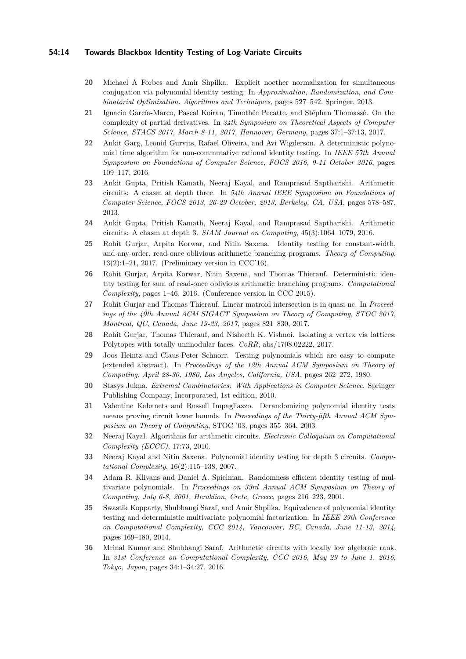#### **54:14 Towards Blackbox Identity Testing of Log-Variate Circuits**

- <span id="page-13-16"></span>**20** Michael A Forbes and Amir Shpilka. Explicit noether normalization for simultaneous conjugation via polynomial identity testing. In *Approximation, Randomization, and Combinatorial Optimization. Algorithms and Techniques*, pages 527–542. Springer, 2013.
- <span id="page-13-13"></span>**21** Ignacio García-Marco, Pascal Koiran, Timothée Pecatte, and Stéphan Thomassé. On the complexity of partial derivatives. In *34th Symposium on Theoretical Aspects of Computer Science, STACS 2017, March 8-11, 2017, Hannover, Germany*, pages 37:1–37:13, 2017.
- <span id="page-13-9"></span>**22** Ankit Garg, Leonid Gurvits, Rafael Oliveira, and Avi Wigderson. A deterministic polynomial time algorithm for non-commutative rational identity testing. In *IEEE 57th Annual Symposium on Foundations of Computer Science, FOCS 2016, 9-11 October 2016*, pages 109–117, 2016.
- <span id="page-13-12"></span>**23** Ankit Gupta, Pritish Kamath, Neeraj Kayal, and Ramprasad Saptharishi. Arithmetic circuits: A chasm at depth three. In *54th Annual IEEE Symposium on Foundations of Computer Science, FOCS 2013, 26-29 October, 2013, Berkeley, CA, USA*, pages 578–587, 2013.
- <span id="page-13-11"></span>**24** Ankit Gupta, Pritish Kamath, Neeraj Kayal, and Ramprasad Saptharishi. Arithmetic circuits: A chasm at depth 3. *SIAM Journal on Computing*, 45(3):1064–1079, 2016.
- <span id="page-13-7"></span>**25** Rohit Gurjar, Arpita Korwar, and Nitin Saxena. Identity testing for constant-width, and any-order, read-once oblivious arithmetic branching programs. *Theory of Computing*, 13(2):1–21, 2017. (Preliminary version in CCC'16).
- <span id="page-13-6"></span>**26** Rohit Gurjar, Arpita Korwar, Nitin Saxena, and Thomas Thierauf. Deterministic identity testing for sum of read-once oblivious arithmetic branching programs. *Computational Complexity*, pages 1–46, 2016. (Conference version in CCC 2015).
- <span id="page-13-8"></span>**27** Rohit Gurjar and Thomas Thierauf. Linear matroid intersection is in quasi-nc. In *Proceedings of the 49th Annual ACM SIGACT Symposium on Theory of Computing, STOC 2017, Montreal, QC, Canada, June 19-23, 2017*, pages 821–830, 2017.
- <span id="page-13-14"></span>**28** Rohit Gurjar, Thomas Thierauf, and Nisheeth K. Vishnoi. Isolating a vertex via lattices: Polytopes with totally unimodular faces. *CoRR*, abs/1708.02222, 2017.
- <span id="page-13-0"></span>**29** Joos Heintz and Claus-Peter Schnorr. Testing polynomials which are easy to compute (extended abstract). In *Proceedings of the 12th Annual ACM Symposium on Theory of Computing, April 28-30, 1980, Los Angeles, California, USA*, pages 262–272, 1980.
- <span id="page-13-15"></span>**30** Stasys Jukna. *Extremal Combinatorics: With Applications in Computer Science*. Springer Publishing Company, Incorporated, 1st edition, 2010.
- <span id="page-13-1"></span>**31** Valentine Kabanets and Russell Impagliazzo. Derandomizing polynomial identity tests means proving circuit lower bounds. In *Proceedings of the Thirty-fifth Annual ACM Symposium on Theory of Computing*, STOC '03, pages 355–364, 2003.
- <span id="page-13-10"></span>**32** Neeraj Kayal. Algorithms for arithmetic circuits. *Electronic Colloquium on Computational Complexity (ECCC)*, 17:73, 2010.
- <span id="page-13-4"></span>**33** Neeraj Kayal and Nitin Saxena. Polynomial identity testing for depth 3 circuits. *Computational Complexity*, 16(2):115–138, 2007.
- <span id="page-13-3"></span>**34** Adam R. Klivans and Daniel A. Spielman. Randomness efficient identity testing of multivariate polynomials. In *Proceedings on 33rd Annual ACM Symposium on Theory of Computing, July 6-8, 2001, Heraklion, Crete, Greece*, pages 216–223, 2001.
- <span id="page-13-2"></span>**35** Swastik Kopparty, Shubhangi Saraf, and Amir Shpilka. Equivalence of polynomial identity testing and deterministic multivariate polynomial factorization. In *IEEE 29th Conference on Computational Complexity, CCC 2014, Vancouver, BC, Canada, June 11-13, 2014*, pages 169–180, 2014.
- <span id="page-13-5"></span>**36** Mrinal Kumar and Shubhangi Saraf. Arithmetic circuits with locally low algebraic rank. In *31st Conference on Computational Complexity, CCC 2016, May 29 to June 1, 2016, Tokyo, Japan*, pages 34:1–34:27, 2016.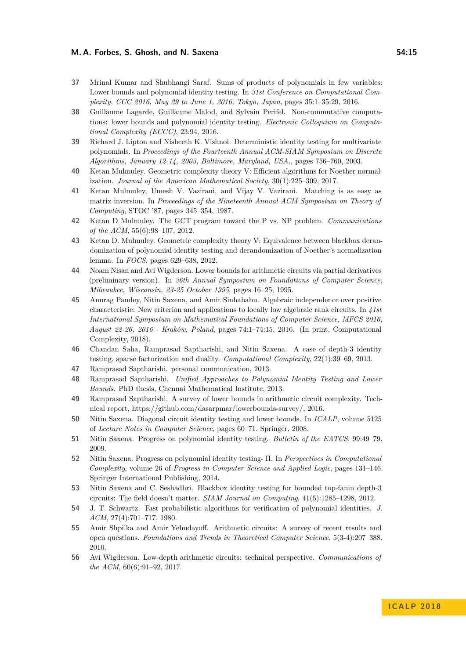#### **M. A. Forbes, S. Ghosh, and N. Saxena 54:15**

- <span id="page-14-11"></span>**37** Mrinal Kumar and Shubhangi Saraf. Sums of products of polynomials in few variables: Lower bounds and polynomial identity testing. In *31st Conference on Computational Complexity, CCC 2016, May 29 to June 1, 2016, Tokyo, Japan*, pages 35:1–35:29, 2016.
- <span id="page-14-13"></span>**38** Guillaume Lagarde, Guillaume Malod, and Sylvain Perifel. Non-commutative computations: lower bounds and polynomial identity testing. *Electronic Colloquium on Computational Complexity (ECCC)*, 23:94, 2016.
- <span id="page-14-7"></span>**39** Richard J. Lipton and Nisheeth K. Vishnoi. Deterministic identity testing for multivariate polynomials. In *Proceedings of the Fourteenth Annual ACM-SIAM Symposium on Discrete Algorithms, January 12-14, 2003, Baltimore, Maryland, USA.*, pages 756–760, 2003.
- <span id="page-14-17"></span>**40** Ketan Mulmuley. Geometric complexity theory V: Efficient algorithms for Noether normalization. *Journal of the American Mathematical Society*, 30(1):225–309, 2017.
- <span id="page-14-1"></span>**41** Ketan Mulmuley, Umesh V. Vazirani, and Vijay V. Vazirani. Matching is as easy as matrix inversion. In *Proceedings of the Nineteenth Annual ACM Symposium on Theory of Computing*, STOC '87, pages 345–354, 1987.
- <span id="page-14-6"></span>**42** Ketan D Mulmuley. The GCT program toward the P vs. NP problem. *Communications of the ACM*, 55(6):98–107, 2012.
- <span id="page-14-16"></span>**43** Ketan D. Mulmuley. Geometric complexity theory V: Equivalence between blackbox derandomization of polynomial identity testing and derandomization of Noether's normalization lemma. In *FOCS*, pages 629–638, 2012.
- <span id="page-14-14"></span>**44** Noam Nisan and Avi Wigderson. Lower bounds for arithmetic circuits via partial derivatives (preliminary version). In *36th Annual Symposium on Foundations of Computer Science, Milwaukee, Wisconsin, 23-25 October 1995*, pages 16–25, 1995.
- <span id="page-14-12"></span>**45** Anurag Pandey, Nitin Saxena, and Amit Sinhababu. Algebraic independence over positive characteristic: New criterion and applications to locally low algebraic rank circuits. In *41st International Symposium on Mathematical Foundations of Computer Science, MFCS 2016, August 22-26, 2016 - Kraków, Poland*, pages 74:1–74:15, 2016. (In print, Computational Complexity, 2018).
- <span id="page-14-10"></span>**46** Chandan Saha, Ramprasad Saptharishi, and Nitin Saxena. A case of depth-3 identity testing, sparse factorization and duality. *Computational Complexity*, 22(1):39–69, 2013.
- <span id="page-14-18"></span>**47** Ramprasad Saptharishi. personal communication, 2013.
- <span id="page-14-15"></span>**48** Ramprasad Saptharishi. *Unified Approaches to Polynomial Identity Testing and Lower Bounds*. PhD thesis, Chennai Mathematical Institute, 2013.
- <span id="page-14-19"></span>**49** Ramprasad Saptharishi. A survey of lower bounds in arithmetic circuit complexity. Technical report, https://github.com/dasarpmar/lowerbounds-survey/, 2016.
- <span id="page-14-8"></span>**50** Nitin Saxena. Diagonal circuit identity testing and lower bounds. In *ICALP*, volume 5125 of *Lecture Notes in Computer Science*, pages 60–71. Springer, 2008.
- <span id="page-14-2"></span>**51** Nitin Saxena. Progress on polynomial identity testing. *Bulletin of the EATCS*, 99:49–79, 2009.
- <span id="page-14-3"></span>**52** Nitin Saxena. Progress on polynomial identity testing- II. In *Perspectives in Computational Complexity*, volume 26 of *Progress in Computer Science and Applied Logic*, pages 131–146. Springer International Publishing, 2014.
- <span id="page-14-9"></span>**53** Nitin Saxena and C. Seshadhri. Blackbox identity testing for bounded top-fanin depth-3 circuits: The field doesn't matter. *SIAM Journal on Computing*, 41(5):1285–1298, 2012.
- <span id="page-14-0"></span>**54** J. T. Schwartz. Fast probabilistic algorithms for verification of polynomial identities. *J. ACM*, 27(4):701–717, 1980.
- <span id="page-14-4"></span>**55** Amir Shpilka and Amir Yehudayoff. Arithmetic circuits: A survey of recent results and open questions. *Foundations and Trends in Theoretical Computer Science*, 5(3-4):207–388, 2010.
- <span id="page-14-5"></span>**56** Avi Wigderson. Low-depth arithmetic circuits: technical perspective. *Communications of the ACM*, 60(6):91–92, 2017.